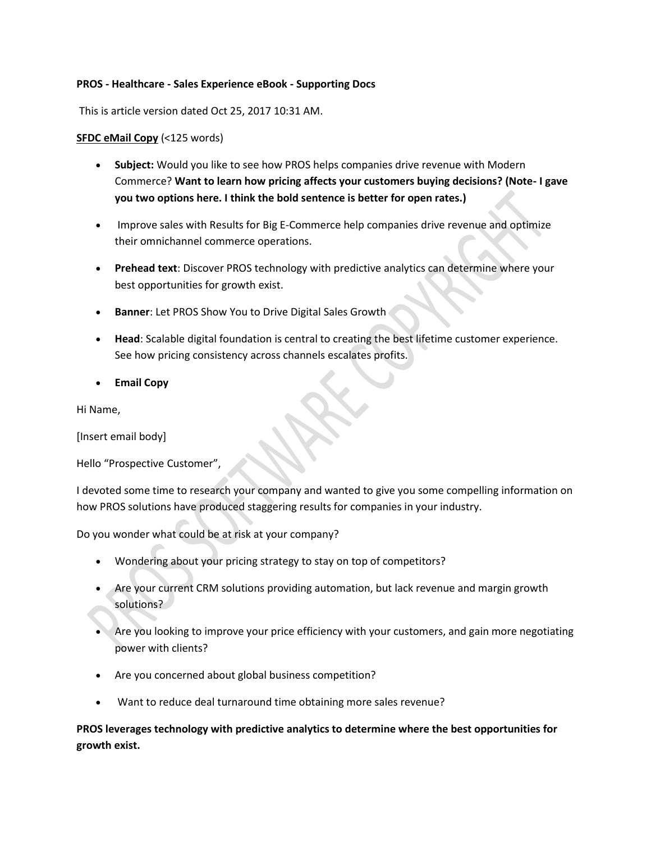#### **PROS - Healthcare - Sales Experience eBook - Supporting Docs**

This is article version dated Oct 25, 2017 10:31 AM.

#### **SFDC eMail Copy** (<125 words)

- **Subject:** Would you like to see how PROS helps companies drive revenue with Modern Commerce? **Want to learn how pricing affects your customers buying decisions? (Note- I gave you two options here. I think the bold sentence is better for open rates.)**
- Improve sales with Results for Big E-Commerce help companies drive revenue and optimize their omnichannel commerce operations.
- **Prehead text**: Discover PROS technology with predictive analytics can determine where your best opportunities for growth exist.
- **Banner**: Let PROS Show You to Drive Digital Sales Growth
- **Head**: Scalable digital foundation is central to creating the best lifetime customer experience. See how pricing consistency across channels escalates profits.
- **Email Copy**

Hi Name,

[Insert email body]

Hello "Prospective Customer",

I devoted some time to research your company and wanted to give you some compelling information on how PROS solutions have produced staggering results for companies in your industry.

Do you wonder what could be at risk at your company?

- Wondering about your pricing strategy to stay on top of competitors?
- Are your current CRM solutions providing automation, but lack revenue and margin growth solutions?
- Are you looking to improve your price efficiency with your customers, and gain more negotiating power with clients?
- Are you concerned about global business competition?
- Want to reduce deal turnaround time obtaining more sales revenue?

**PROS leverages technology with predictive analytics to determine where the best opportunities for growth exist.**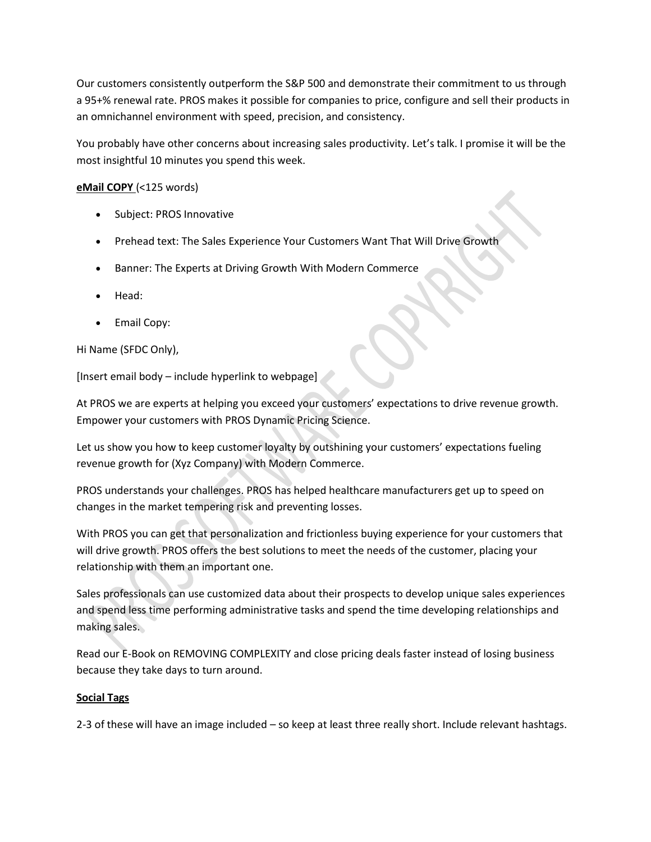Our customers consistently outperform the S&P 500 and demonstrate their commitment to us through a 95+% renewal rate. PROS makes it possible for companies to price, configure and sell their products in an omnichannel environment with speed, precision, and consistency.

You probably have other concerns about increasing sales productivity. Let's talk. I promise it will be the most insightful 10 minutes you spend this week.

# **eMail COPY** (<125 words)

- Subject: PROS Innovative
- Prehead text: The Sales Experience Your Customers Want That Will Drive Growth
- Banner: The Experts at Driving Growth With Modern Commerce
- Head:
- Email Copy:

## Hi Name (SFDC Only),

[Insert email body – include hyperlink to webpage]

At PROS we are experts at helping you exceed your customers' expectations to drive revenue growth. Empower your customers with PROS Dynamic Pricing Science.

Let us show you how to keep customer loyalty by outshining your customers' expectations fueling revenue growth for (Xyz Company) with Modern Commerce.

PROS understands your challenges. PROS has helped healthcare manufacturers get up to speed on changes in the market tempering risk and preventing losses.

With PROS you can get that personalization and frictionless buying experience for your customers that will drive growth. PROS offers the best solutions to meet the needs of the customer, placing your relationship with them an important one.

Sales professionals can use customized data about their prospects to develop unique sales experiences and spend less time performing administrative tasks and spend the time developing relationships and making sales.

Read our E-Book on REMOVING COMPLEXITY and close pricing deals faster instead of losing business because they take days to turn around.

## **Social Tags**

2-3 of these will have an image included – so keep at least three really short. Include relevant hashtags.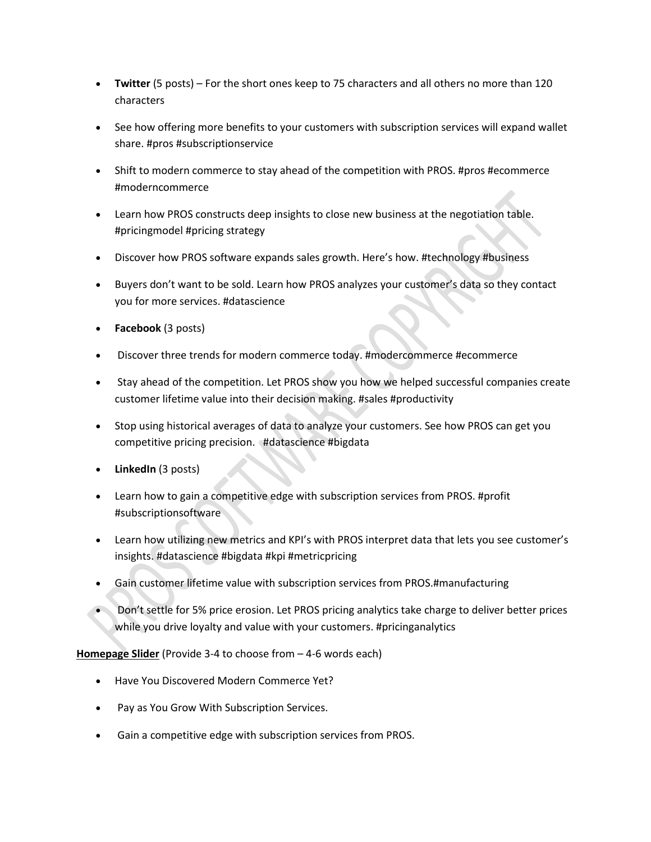- **Twitter** (5 posts) For the short ones keep to 75 characters and all others no more than 120 characters
- See how offering more benefits to your customers with subscription services will expand wallet share. #pros #subscriptionservice
- Shift to modern commerce to stay ahead of the competition with PROS. #pros #ecommerce #moderncommerce
- Learn how PROS constructs deep insights to close new business at the negotiation table. #pricingmodel #pricing strategy
- Discover how PROS software expands sales growth. Here's how. #technology #business
- Buyers don't want to be sold. Learn how PROS analyzes your customer's data so they contact you for more services. #datascience
- **Facebook** (3 posts)
- Discover three trends for modern commerce today. #modercommerce #ecommerce
- Stay ahead of the competition. Let PROS show you how we helped successful companies create customer lifetime value into their decision making. #sales #productivity
- Stop using historical averages of data to analyze your customers. See how PROS can get you competitive pricing precision. #datascience #bigdata
- **LinkedIn** (3 posts)
- Learn how to gain a competitive edge with subscription services from PROS. #profit #subscriptionsoftware
- Learn how utilizing new metrics and KPI's with PROS interpret data that lets you see customer's insights. #datascience #bigdata #kpi #metricpricing
- Gain customer lifetime value with subscription services from PROS.#manufacturing
- Don't settle for 5% price erosion. Let PROS pricing analytics take charge to deliver better prices while you drive loyalty and value with your customers. #pricinganalytics

**Homepage Slider** (Provide 3-4 to choose from – 4-6 words each)

- Have You Discovered Modern Commerce Yet?
- Pay as You Grow With Subscription Services.
- Gain a competitive edge with subscription services from PROS.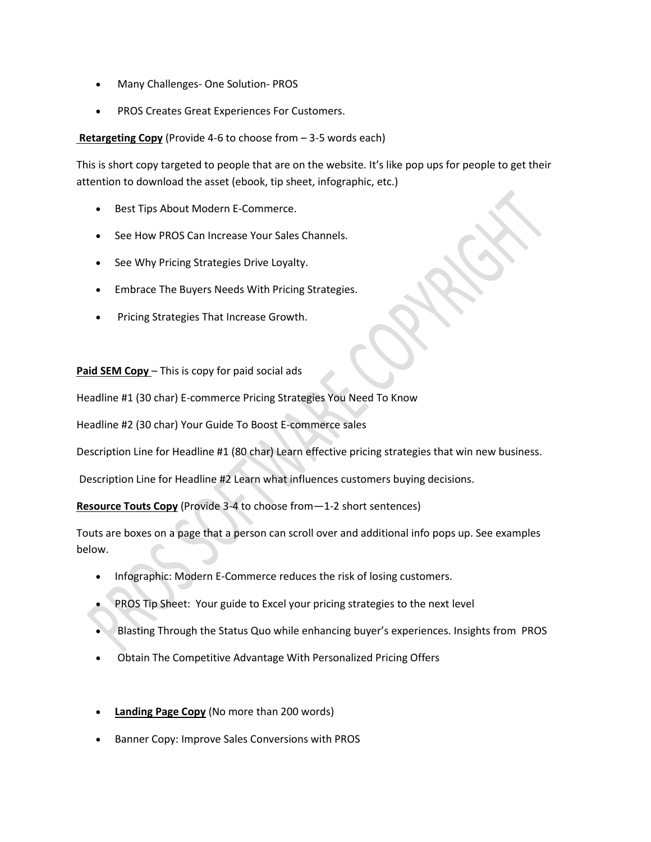- Many Challenges- One Solution- PROS
- PROS Creates Great Experiences For Customers.

**Retargeting Copy** (Provide 4-6 to choose from – 3-5 words each)

This is short copy targeted to people that are on the website. It's like pop ups for people to get their attention to download the asset (ebook, tip sheet, infographic, etc.)

- Best Tips About Modern E-Commerce.
- See How PROS Can Increase Your Sales Channels.
- See Why Pricing Strategies Drive Loyalty.
- Embrace The Buyers Needs With Pricing Strategies.
- Pricing Strategies That Increase Growth.

**Paid SEM Copy** – This is copy for paid social ads

Headline #1 (30 char) E-commerce Pricing Strategies You Need To Know

Headline #2 (30 char) Your Guide To Boost E-commerce sales

Description Line for Headline #1 (80 char) Learn effective pricing strategies that win new business.

Description Line for Headline #2 Learn what influences customers buying decisions.

**Resource Touts Copy** (Provide 3-4 to choose from—1-2 short sentences)

Touts are boxes on a page that a person can scroll over and additional info pops up. See examples below.

- Infographic: Modern E-Commerce reduces the risk of losing customers.
- PROS Tip Sheet: Your guide to Excel your pricing strategies to the next level
- Blasting Through the Status Quo while enhancing buyer's experiences. Insights from PROS
- Obtain The Competitive Advantage With Personalized Pricing Offers
- **Landing Page Copy** (No more than 200 words)
- Banner Copy: Improve Sales Conversions with PROS